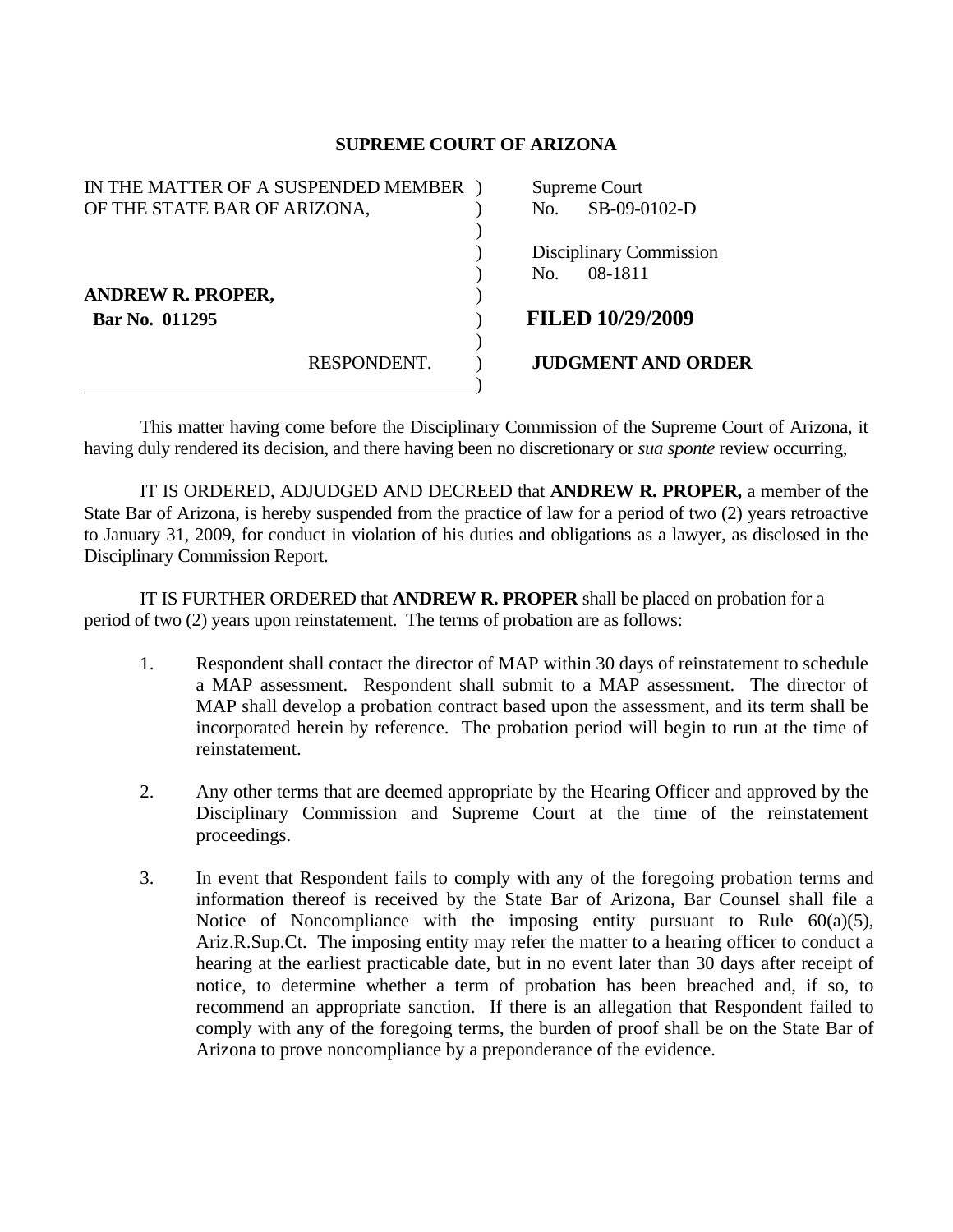## **SUPREME COURT OF ARIZONA**

| IN THE MATTER OF A SUSPENDED MEMBER |             | Supreme Court  |                           |
|-------------------------------------|-------------|----------------|---------------------------|
| OF THE STATE BAR OF ARIZONA,        |             | No.            | SB-09-0102-D              |
|                                     |             |                |                           |
|                                     |             |                | Disciplinary Commission   |
|                                     |             | N <sub>O</sub> | 08-1811                   |
| <b>ANDREW R. PROPER,</b>            |             |                |                           |
| Bar No. 011295                      |             |                | <b>FILED 10/29/2009</b>   |
|                                     |             |                |                           |
|                                     | RESPONDENT. |                | <b>JUDGMENT AND ORDER</b> |
|                                     |             |                |                           |

 This matter having come before the Disciplinary Commission of the Supreme Court of Arizona, it having duly rendered its decision, and there having been no discretionary or *sua sponte* review occurring,

 IT IS ORDERED, ADJUDGED AND DECREED that **ANDREW R. PROPER,** a member of the State Bar of Arizona, is hereby suspended from the practice of law for a period of two (2) years retroactive to January 31, 2009, for conduct in violation of his duties and obligations as a lawyer, as disclosed in the Disciplinary Commission Report.

 IT IS FURTHER ORDERED that **ANDREW R. PROPER** shall be placed on probation for a period of two (2) years upon reinstatement. The terms of probation are as follows:

- 1. Respondent shall contact the director of MAP within 30 days of reinstatement to schedule a MAP assessment. Respondent shall submit to a MAP assessment. The director of MAP shall develop a probation contract based upon the assessment, and its term shall be incorporated herein by reference. The probation period will begin to run at the time of reinstatement.
- 2. Any other terms that are deemed appropriate by the Hearing Officer and approved by the Disciplinary Commission and Supreme Court at the time of the reinstatement proceedings.
- 3. In event that Respondent fails to comply with any of the foregoing probation terms and information thereof is received by the State Bar of Arizona, Bar Counsel shall file a Notice of Noncompliance with the imposing entity pursuant to Rule  $60(a)(5)$ , Ariz.R.Sup.Ct. The imposing entity may refer the matter to a hearing officer to conduct a hearing at the earliest practicable date, but in no event later than 30 days after receipt of notice, to determine whether a term of probation has been breached and, if so, to recommend an appropriate sanction. If there is an allegation that Respondent failed to comply with any of the foregoing terms, the burden of proof shall be on the State Bar of Arizona to prove noncompliance by a preponderance of the evidence.